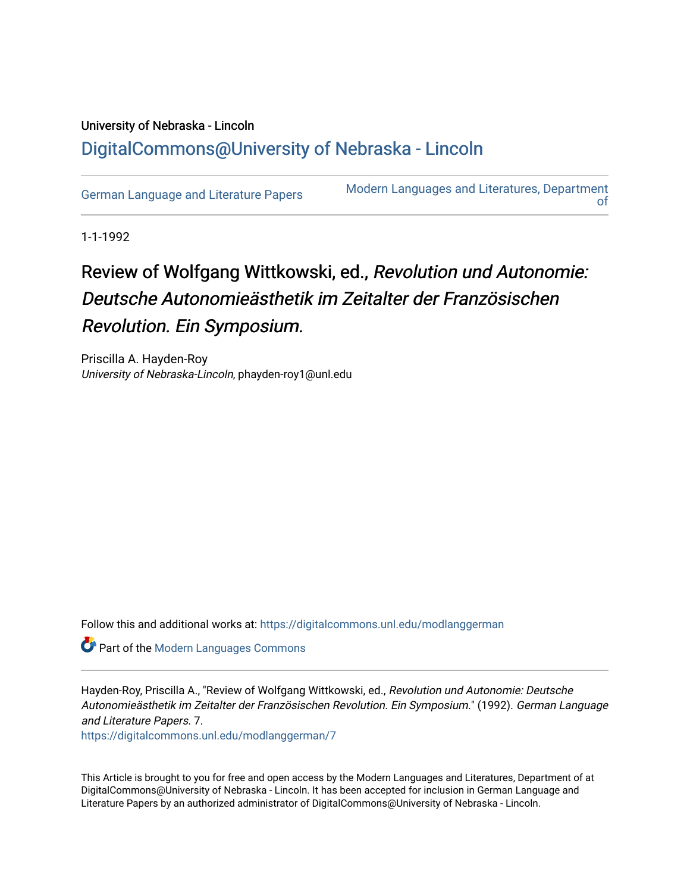## University of Nebraska - Lincoln [DigitalCommons@University of Nebraska - Lincoln](https://digitalcommons.unl.edu/)

[German Language and Literature Papers](https://digitalcommons.unl.edu/modlanggerman) Modern Languages and Literatures, Department [of](https://digitalcommons.unl.edu/modernlanguages) 

1-1-1992

## Review of Wolfgang Wittkowski, ed., Revolution und Autonomie: Deutsche Autonomieästhetik im Zeitalter der Französischen Revolution. Ein Symposium.

Priscilla A. Hayden-Roy University of Nebraska-Lincoln, phayden-roy1@unl.edu

Follow this and additional works at: [https://digitalcommons.unl.edu/modlanggerman](https://digitalcommons.unl.edu/modlanggerman?utm_source=digitalcommons.unl.edu%2Fmodlanggerman%2F7&utm_medium=PDF&utm_campaign=PDFCoverPages) 

**Part of the Modern Languages Commons** 

Hayden-Roy, Priscilla A., "Review of Wolfgang Wittkowski, ed., Revolution und Autonomie: Deutsche Autonomieästhetik im Zeitalter der Französischen Revolution. Ein Symposium." (1992). German Language and Literature Papers. 7.

[https://digitalcommons.unl.edu/modlanggerman/7](https://digitalcommons.unl.edu/modlanggerman/7?utm_source=digitalcommons.unl.edu%2Fmodlanggerman%2F7&utm_medium=PDF&utm_campaign=PDFCoverPages) 

This Article is brought to you for free and open access by the Modern Languages and Literatures, Department of at DigitalCommons@University of Nebraska - Lincoln. It has been accepted for inclusion in German Language and Literature Papers by an authorized administrator of DigitalCommons@University of Nebraska - Lincoln.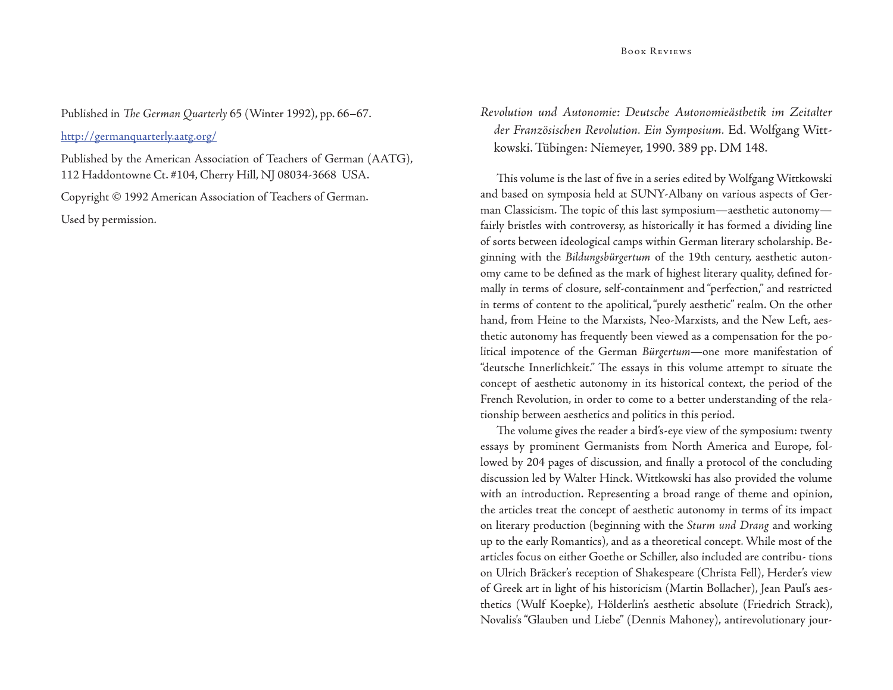Published in *The German Quarterly 65* (Winter 1992), pp. 66-67.

http://germanquarterly.aatg.org/

Published by the American Association of Teachers of German (AATG), 112 Haddontowne Ct. #104, Cherry Hill, NJ 08034-3668 USA.

Copyright © 1992 American Association of Teachers of German. Used by permission.

*Revolution und Autonomie: Deutsche Autonomieästhetik im Zeitalter der Französischen Revolution. Ein Symposium.* Ed. Wolfgang Wittkowski. Tübingen: Niemeyer, 1990. 389 pp. DM 148.

This volume is the last of five in a series edited by Wolfgang Wittkowski and based on symposia held at SUNY-Albany on various aspects of German Classicism. The topic of this last symposium—aesthetic autonomy fairly bristles with controversy, as historically it has formed a dividing line of sorts between ideological camps within German literary scholarship. Beginning with the *Bildungsbürgertum* of the 19th century, aesthetic autonomy came to be defined as the mark of highest literary quality, defined formally in terms of closure, self-containment and "perfection," and restricted in terms of content to the apolitical, "purely aesthetic" realm. On the other hand, from Heine to the Marxists, Neo-Marxists, and the New Left, aesthetic autonomy has frequently been viewed as a compensation for the political impotence of the German *Bürgertum—*one more manifestation of "deutsche Innerlichkeit." The essays in this volume attempt to situate the concept of aesthetic autonomy in its historical context, the period of the French Revolution, in order to come to a better understanding of the relationship between aesthetics and politics in this period.

The volume gives the reader a bird's-eye view of the symposium: twenty essays by prominent Germanists from North America and Europe, followed by 204 pages of discussion, and finally a protocol of the concluding discussion led by Walter Hinck. Wittkowski has also provided the volume with an introduction. Representing a broad range of theme and opinion, the articles treat the concept of aesthetic autonomy in terms of its impact on literary production (beginning with the *Sturm und Drang* and working up to the early Romantics), and as a theoretical concept. While most of the articles focus on either Goethe or Schiller, also included are contribu- tions on Ulrich Bräcker's reception of Shakespeare (Christa Fell), Herder's view of Greek art in light of his historicism (Martin Bollacher), Jean Paul's aesthetics (Wulf Koepke), Hölderlin's aesthetic absolute (Friedrich Strack), Novalis's "Glauben und Liebe" (Dennis Mahoney), antirevolutionary jour